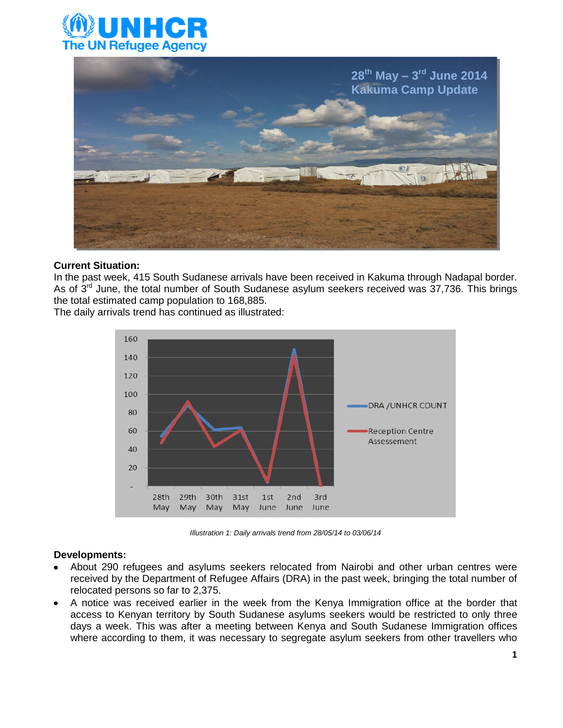



#### **Current Situation:**

In the past week, 415 South Sudanese arrivals have been received in Kakuma through Nadapal border. As of  $3<sup>rd</sup>$  June, the total number of South Sudanese asylum seekers received was 37,736. This brings the total estimated camp population to 168,885.

The daily arrivals trend has continued as illustrated:



*Illustration 1: Daily arrivals trend from 28/05/14 to 03/06/14*

#### **Developments:**

- About 290 refugees and asylums seekers relocated from Nairobi and other urban centres were received by the Department of Refugee Affairs (DRA) in the past week, bringing the total number of relocated persons so far to 2,375.
- A notice was received earlier in the week from the Kenya Immigration office at the border that access to Kenyan territory by South Sudanese asylums seekers would be restricted to only three days a week. This was after a meeting between Kenya and South Sudanese Immigration offices where according to them, it was necessary to segregate asylum seekers from other travellers who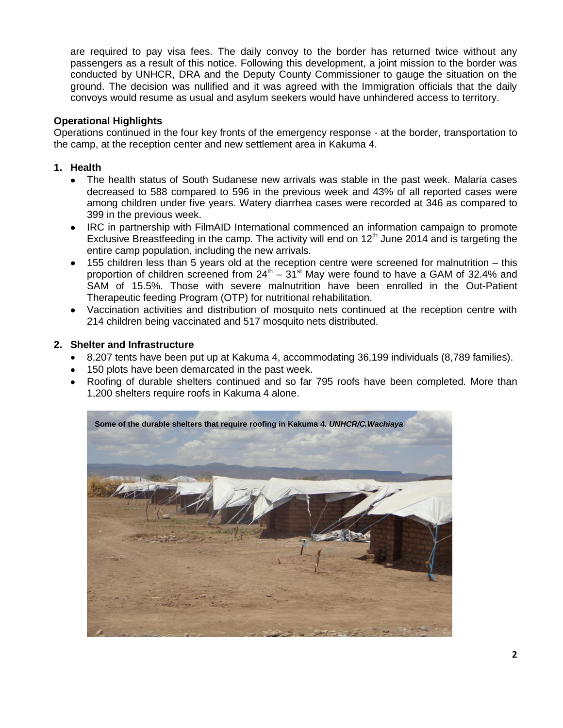are required to pay visa fees. The daily convoy to the border has returned twice without any passengers as a result of this notice. Following this development, a joint mission to the border was conducted by UNHCR, DRA and the Deputy County Commissioner to gauge the situation on the ground. The decision was nullified and it was agreed with the Immigration officials that the daily convoys would resume as usual and asylum seekers would have unhindered access to territory.

### **Operational Highlights**

Operations continued in the four key fronts of the emergency response - at the border, transportation to the camp, at the reception center and new settlement area in Kakuma 4.

### **1. Health**

- The health status of South Sudanese new arrivals was stable in the past week. Malaria cases  $\bullet$ decreased to 588 compared to 596 in the previous week and 43% of all reported cases were among children under five years. Watery diarrhea cases were recorded at 346 as compared to 399 in the previous week.
- $\bullet$ IRC in partnership with FilmAID International commenced an information campaign to promote Exclusive Breastfeeding in the camp. The activity will end on  $12<sup>th</sup>$  June 2014 and is targeting the entire camp population, including the new arrivals.
- 155 children less than 5 years old at the reception centre were screened for malnutrition this  $\bullet$ proportion of children screened from  $24<sup>th</sup> - 31<sup>st</sup>$  May were found to have a GAM of 32.4% and SAM of 15.5%. Those with severe malnutrition have been enrolled in the Out-Patient Therapeutic feeding Program (OTP) for nutritional rehabilitation.
- Vaccination activities and distribution of mosquito nets continued at the reception centre with 214 children being vaccinated and 517 mosquito nets distributed.

#### **2. Shelter and Infrastructure**

- 8,207 tents have been put up at Kakuma 4, accommodating 36,199 individuals (8,789 families).
- 150 plots have been demarcated in the past week.
- $\bullet$ Roofing of durable shelters continued and so far 795 roofs have been completed. More than 1,200 shelters require roofs in Kakuma 4 alone.

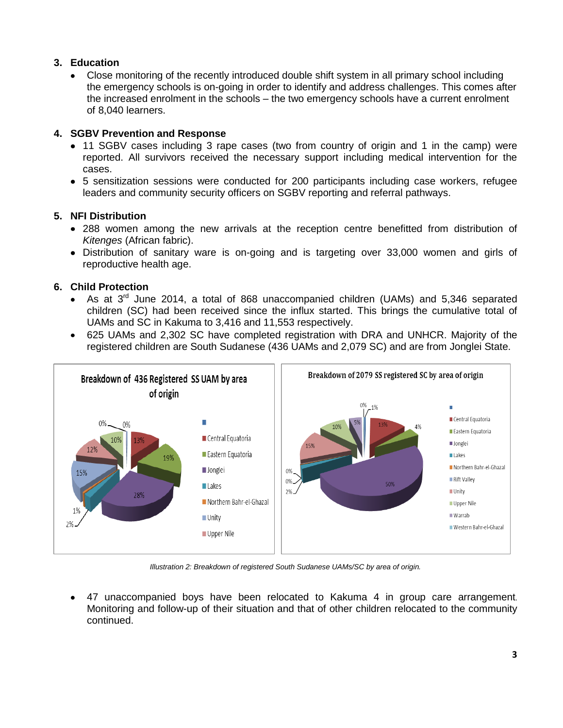### **3. Education**

Close monitoring of the recently introduced double shift system in all primary school including the emergency schools is on-going in order to identify and address challenges. This comes after the increased enrolment in the schools – the two emergency schools have a current enrolment of 8,040 learners.

# **4. SGBV Prevention and Response**

- 11 SGBV cases including 3 rape cases (two from country of origin and 1 in the camp) were reported. All survivors received the necessary support including medical intervention for the cases.
- 5 sensitization sessions were conducted for 200 participants including case workers, refugee leaders and community security officers on SGBV reporting and referral pathways.

# **5. NFI Distribution**

- 288 women among the new arrivals at the reception centre benefitted from distribution of *Kitenges* (African fabric).
- Distribution of sanitary ware is on-going and is targeting over 33,000 women and girls of reproductive health age.

# **6. Child Protection**

- As at  $3<sup>rd</sup>$  June 2014, a total of 868 unaccompanied children (UAMs) and 5,346 separated children (SC) had been received since the influx started. This brings the cumulative total of UAMs and SC in Kakuma to 3,416 and 11,553 respectively.
- 625 UAMs and 2,302 SC have completed registration with DRA and UNHCR. Majority of the registered children are South Sudanese (436 UAMs and 2,079 SC) and are from Jonglei State.



*Illustration 2: Breakdown of registered South Sudanese UAMs/SC by area of origin.*

47 unaccompanied boys have been relocated to Kakuma 4 in group care arrangement.  $\bullet$ Monitoring and follow-up of their situation and that of other children relocated to the community continued.